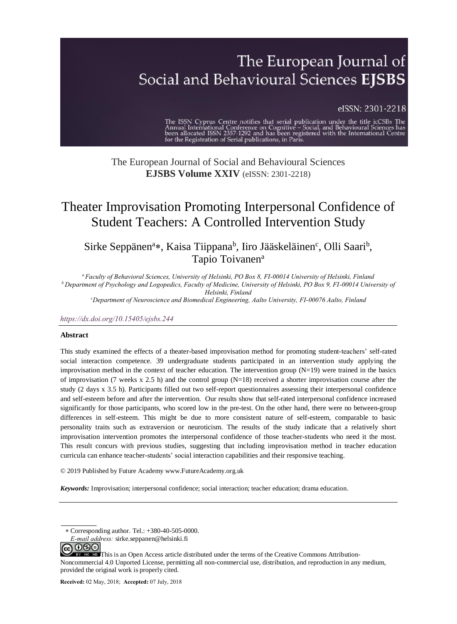# The European Journal of Social and Behavioural Sciences EJSBS

#### eISSN: 2301-2218

The ISSN Cyprus Centre notifies that serial publication under the title icCSBs The Annual International Conference on Cognitive – Social, and Behavioural Sciences has been allocated ISSN 2357-1292 and has been registered w

### The European Journal of Social and Behavioural Sciences **EJSBS Volume XXIV** (eISSN: 2301-2218)

## Theater Improvisation Promoting Interpersonal Confidence of Student Teachers: A Controlled Intervention Study

Sirke Seppänen<sup>a</sup>\*, Kaisa Tiippana<sup>b</sup>, Iiro Jääskeläinen<sup>c</sup>, Olli Saari<sup>b</sup>, Tapio Toivanen<sup>a</sup>

*<sup>a</sup>Faculty of Behavioral Sciences, University of Helsinki, PO Box 8, FI-00014 University of Helsinki, Finland b* Department of Psychology and Logopedics, Faculty of Medicine, University of Helsinki, PO Box 9, FI-00014 University of *Helsinki, Finland*

*<sup>c</sup>Department of Neuroscience and Biomedical Engineering, Aalto University, FI-00076 Aalto, Finland*

#### *https://dx.doi.org/10.15405/ejsbs.244*

#### **Abstract**

This study examined the effects of a theater-based improvisation method for promoting student-teachers' self-rated social interaction competence. 39 undergraduate students participated in an intervention study applying the improvisation method in the context of teacher education. The intervention group  $(N=19)$  were trained in the basics of improvisation (7 weeks x 2.5 h) and the control group (N=18) received a shorter improvisation course after the study (2 days x 3.5 h). Participants filled out two self-report questionnaires assessing their interpersonal confidence and self-esteem before and after the intervention. Our results show that self-rated interpersonal confidence increased significantly for those participants, who scored low in the pre-test. On the other hand, there were no between-group differences in self-esteem. This might be due to more consistent nature of self-esteem, comparable to basic personality traits such as extraversion or neuroticism. The results of the study indicate that a relatively short improvisation intervention promotes the interpersonal confidence of those teacher-students who need it the most. This result concurs with previous studies, suggesting that including improvisation method in teacher education curricula can enhance teacher-students' social interaction capabilities and their responsive teaching.

© 2019 Published by Future Academy www.FutureAcademy.org.uk

*Keywords:* Improvisation; interpersonal confidence; social interaction; teacher education; drama education.

**ଇ ୦**®©

Corresponding author. Tel.: +380-40-505-0000.

*[E-mail addr](http://creativecommons.org/licenses/by-nc-nd/4.0/)ess:* sirke.seppanen@helsinki.fi

EY NO ND This is an Open Access article distributed under the terms of the Creative Commons Attribution-Noncommercial 4.0 Unported License, permitting all non-commercial use, distribution, and reproduction in any medium, provided the original work is properly cited.

**Received:** 02 May, 2018; **Accepted:** 07 July, 2018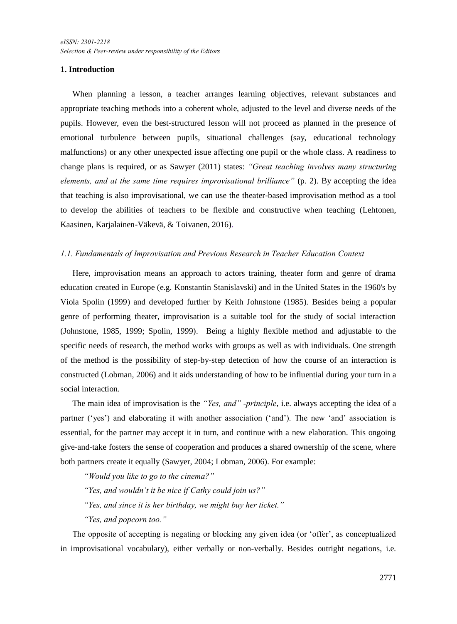#### **1. Introduction**

When planning a lesson, a teacher arranges learning objectives, relevant substances and appropriate teaching methods into a coherent whole, adjusted to the level and diverse needs of the pupils. However, even the best-structured lesson will not proceed as planned in the presence of emotional turbulence between pupils, situational challenges (say, educational technology malfunctions) or any other unexpected issue affecting one pupil or the whole class. A readiness to change plans is required, or as Sawyer (2011) states: *"Great teaching involves many structuring elements, and at the same time requires improvisational brilliance"* (p. 2). By accepting the idea that teaching is also improvisational, we can use the theater-based improvisation method as a tool to develop the abilities of teachers to be flexible and constructive when teaching (Lehtonen, Kaasinen, Karjalainen-Väkevä, & Toivanen, 2016).

#### *1.1. Fundamentals of Improvisation and Previous Research in Teacher Education Context*

Here, improvisation means an approach to actors training, theater form and genre of drama education created in Europe (e.g. Konstantin Stanislavski) and in the United States in the 1960's by Viola Spolin (1999) and developed further by Keith Johnstone (1985). Besides being a popular genre of performing theater, improvisation is a suitable tool for the study of social interaction (Johnstone, 1985, 1999; Spolin, 1999). Being a highly flexible method and adjustable to the specific needs of research, the method works with groups as well as with individuals. One strength of the method is the possibility of step-by-step detection of how the course of an interaction is constructed (Lobman, 2006) and it aids understanding of how to be influential during your turn in a social interaction.

The main idea of improvisation is the *"Yes, and" -principle*, i.e. always accepting the idea of a partner ('yes') and elaborating it with another association ('and'). The new 'and' association is essential, for the partner may accept it in turn, and continue with a new elaboration. This ongoing give-and-take fosters the sense of cooperation and produces a shared ownership of the scene, where both partners create it equally (Sawyer, 2004; Lobman, 2006). For example:

*"Would you like to go to the cinema?"*

- *"Yes, and wouldn't it be nice if Cathy could join us?"*
- *"Yes, and since it is her birthday, we might buy her ticket."*

*"Yes, and popcorn too."*

The opposite of accepting is negating or blocking any given idea (or 'offer', as conceptualized in improvisational vocabulary), either verbally or non-verbally. Besides outright negations, i.e.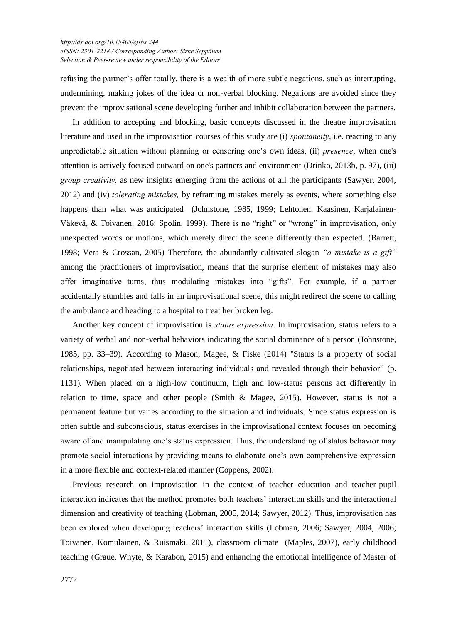#### *[http://dx.doi.org/1](http://dx.doi.org/)0.15405/ejsbs.244 eISSN: 2301-2218 / Corresponding Author: Sirke Seppänen Selection & Peer-review under responsibility of the Editors*

refusing the partner's offer totally, there is a wealth of more subtle negations, such as interrupting, undermining, making jokes of the idea or non-verbal blocking. Negations are avoided since they prevent the improvisational scene developing further and inhibit collaboration between the partners.

In addition to accepting and blocking, basic concepts discussed in the theatre improvisation literature and used in the improvisation courses of this study are (i) *spontaneity*, i.e. reacting to any unpredictable situation without planning or censoring one's own ideas, (ii) *presence*, when one's attention is actively focused outward on one's partners and environment (Drinko, 2013b, p. 97), (iii) *group creativity,* as new insights emerging from the actions of all the participants (Sawyer, 2004, 2012) and (iv) *tolerating mistakes,* by reframing mistakes merely as events, where something else happens than what was anticipated (Johnstone, 1985, 1999; Lehtonen, Kaasinen, Karjalainen-Väkevä, & Toivanen, 2016; Spolin, 1999). There is no "right" or "wrong" in improvisation, only unexpected words or motions, which merely direct the scene differently than expected. (Barrett, 1998; Vera & Crossan, 2005) Therefore, the abundantly cultivated slogan *"a mistake is a gift"* among the practitioners of improvisation, means that the surprise element of mistakes may also offer imaginative turns, thus modulating mistakes into "gifts". For example, if a partner accidentally stumbles and falls in an improvisational scene, this might redirect the scene to calling the ambulance and heading to a hospital to treat her broken leg.

Another key concept of improvisation is *status expression*. In improvisation, status refers to a variety of verbal and non-verbal behaviors indicating the social dominance of a person (Johnstone, 1985, pp. 33–39). According to Mason, Magee, & Fiske (2014) "Status is a property of social relationships, negotiated between interacting individuals and revealed through their behavior" (p. 1131)*.* When placed on a high-low continuum, high and low-status persons act differently in relation to time, space and other people (Smith & Magee, 2015). However, status is not a permanent feature but varies according to the situation and individuals. Since status expression is often subtle and subconscious, status exercises in the improvisational context focuses on becoming aware of and manipulating one's status expression. Thus, the understanding of status behavior may promote social interactions by providing means to elaborate one's own comprehensive expression in a more flexible and context-related manner (Coppens, 2002).

Previous research on improvisation in the context of teacher education and teacher-pupil interaction indicates that the method promotes both teachers' interaction skills and the interactional dimension and creativity of teaching (Lobman, 2005, 2014; Sawyer, 2012). Thus, improvisation has been explored when developing teachers' interaction skills (Lobman, 2006; Sawyer, 2004, 2006; Toivanen, Komulainen, & Ruismäki, 2011), classroom climate (Maples, 2007), early childhood teaching (Graue, Whyte, & Karabon, 2015) and enhancing the emotional intelligence of Master of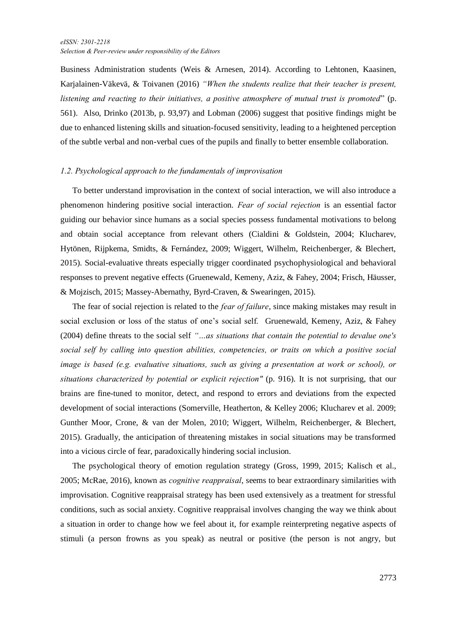Business Administration students (Weis & Arnesen, 2014). According to Lehtonen, Kaasinen, Karjalainen-Väkevä, & Toivanen (2016) *"When the students realize that their teacher is present, listening and reacting to their initiatives, a positive atmosphere of mutual trust is promoted*" (p. 561). Also, Drinko (2013b, p. 93,97) and Lobman (2006) suggest that positive findings might be due to enhanced listening skills and situation-focused sensitivity, leading to a heightened perception of the subtle verbal and non-verbal cues of the pupils and finally to better ensemble collaboration.

#### *1.2. Psychological approach to the fundamentals of improvisation*

To better understand improvisation in the context of social interaction, we will also introduce a phenomenon hindering positive social interaction. *Fear of social rejection* is an essential factor guiding our behavior since humans as a social species possess fundamental motivations to belong and obtain social acceptance from relevant others (Cialdini & Goldstein, 2004; Klucharev, Hytönen, Rijpkema, Smidts, & Fernández, 2009; Wiggert, Wilhelm, Reichenberger, & Blechert, 2015). Social-evaluative threats especially trigger coordinated psychophysiological and behavioral responses to prevent negative effects (Gruenewald, Kemeny, Aziz, & Fahey, 2004; Frisch, Häusser, & Mojzisch, 2015; Massey-Abernathy, Byrd-Craven, & Swearingen, 2015).

The fear of social rejection is related to the *fear of failure*, since making mistakes may result in social exclusion or loss of the status of one's social self. Gruenewald, Kemeny, Aziz, & Fahey (2004) define threats to the social self *"…as situations that contain the potential to devalue one's social self by calling into question abilities, competencies, or traits on which a positive social image is based (e.g. evaluative situations, such as giving a presentation at work or school), or situations characterized by potential or explicit rejection"* (p. 916). It is not surprising, that our brains are fine-tuned to monitor, detect, and respond to errors and deviations from the expected development of social interactions (Somerville, Heatherton, & Kelley 2006; Klucharev et al. 2009; Gunther Moor, Crone, & van der Molen, 2010; Wiggert, Wilhelm, Reichenberger, & Blechert, 2015). Gradually, the anticipation of threatening mistakes in social situations may be transformed into a vicious circle of fear, paradoxically hindering social inclusion.

The psychological theory of emotion regulation strategy (Gross, 1999, 2015; Kalisch et al., 2005; McRae, 2016), known as *cognitive reappraisal*, seems to bear extraordinary similarities with improvisation. Cognitive reappraisal strategy has been used extensively as a treatment for stressful conditions, such as social anxiety. Cognitive reappraisal involves changing the way we think about a situation in order to change how we feel about it, for example reinterpreting negative aspects of stimuli (a person frowns as you speak) as neutral or positive (the person is not angry, but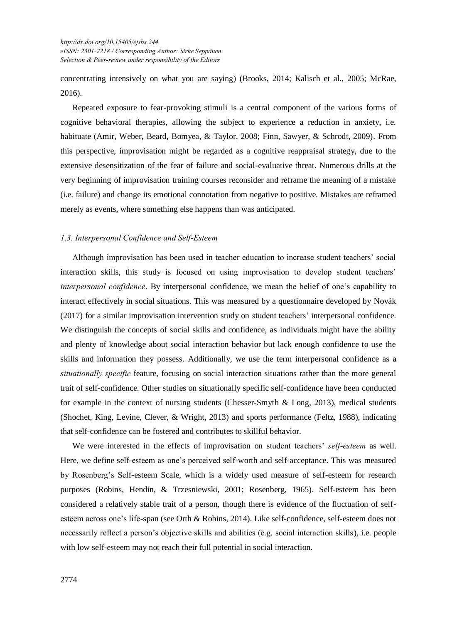concentrating intensively on what you are saying) (Brooks, 2014; Kalisch et al., 2005; McRae, 2016).

Repeated exposure to fear-provoking stimuli is a central component of the various forms of cognitive behavioral therapies, allowing the subject to experience a reduction in anxiety, i.e. habituate (Amir, Weber, Beard, Bomyea, & Taylor, 2008; Finn, Sawyer, & Schrodt, 2009). From this perspective, improvisation might be regarded as a cognitive reappraisal strategy, due to the extensive desensitization of the fear of failure and social-evaluative threat. Numerous drills at the very beginning of improvisation training courses reconsider and reframe the meaning of a mistake (i.e. failure) and change its emotional connotation from negative to positive. Mistakes are reframed merely as events, where something else happens than was anticipated.

#### *1.3. Interpersonal Confidence and Self-Esteem*

Although improvisation has been used in teacher education to increase student teachers' social interaction skills, this study is focused on using improvisation to develop student teachers' *interpersonal confidence*. By interpersonal confidence, we mean the belief of one's capability to interact effectively in social situations. This was measured by a questionnaire developed by Novák (2017) for a similar improvisation intervention study on student teachers' interpersonal confidence. We distinguish the concepts of social skills and confidence, as individuals might have the ability and plenty of knowledge about social interaction behavior but lack enough confidence to use the skills and information they possess. Additionally, we use the term interpersonal confidence as a *situationally specific* feature, focusing on social interaction situations rather than the more general trait of self-confidence. Other studies on situationally specific self-confidence have been conducted for example in the context of nursing students (Chesser-Smyth  $\&$  Long, 2013), medical students (Shochet, King, Levine, Clever, & Wright, 2013) and sports performance (Feltz, 1988), indicating that self-confidence can be fostered and contributes to skillful behavior.

We were interested in the effects of improvisation on student teachers' *self-esteem* as well. Here, we define self-esteem as one's perceived self-worth and self-acceptance. This was measured by Rosenberg's Self-esteem Scale, which is a widely used measure of self-esteem for research purposes (Robins, Hendin, & Trzesniewski, 2001; Rosenberg, 1965). Self-esteem has been considered a relatively stable trait of a person, though there is evidence of the fluctuation of selfesteem across one's life-span (see Orth & Robins, 2014). Like self-confidence, self-esteem does not necessarily reflect a person's objective skills and abilities (e.g. social interaction skills), i.e. people with low self-esteem may not reach their full potential in social interaction.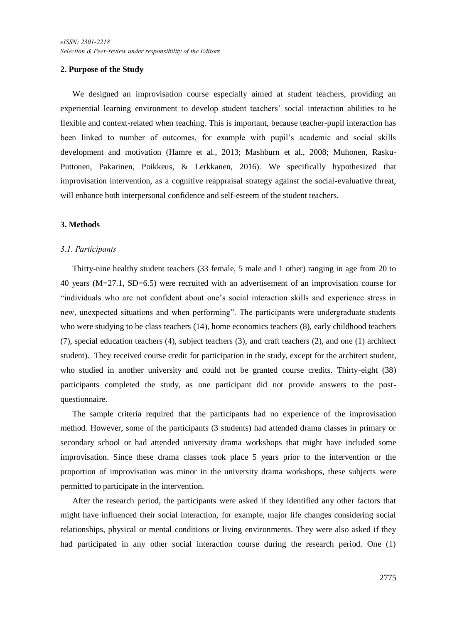#### **2. Purpose of the Study**

We designed an improvisation course especially aimed at student teachers, providing an experiential learning environment to develop student teachers' social interaction abilities to be flexible and context-related when teaching. This is important, because teacher-pupil interaction has been linked to number of outcomes, for example with pupil's academic and social skills development and motivation (Hamre et al., 2013; Mashburn et al., 2008; Muhonen, Rasku-Puttonen, Pakarinen, Poikkeus, & Lerkkanen, 2016). We specifically hypothesized that improvisation intervention, as a cognitive reappraisal strategy against the social-evaluative threat, will enhance both interpersonal confidence and self-esteem of the student teachers.

#### **3. Methods**

#### *3.1. Participants*

Thirty-nine healthy student teachers (33 female, 5 male and 1 other) ranging in age from 20 to 40 years (M=27.1, SD=6.5) were recruited with an advertisement of an improvisation course for "individuals who are not confident about one's social interaction skills and experience stress in new, unexpected situations and when performing". The participants were undergraduate students who were studying to be class teachers (14), home economics teachers (8), early childhood teachers (7), special education teachers (4), subject teachers (3), and craft teachers (2), and one (1) architect student). They received course credit for participation in the study, except for the architect student, who studied in another university and could not be granted course credits. Thirty-eight (38) participants completed the study, as one participant did not provide answers to the postquestionnaire.

The sample criteria required that the participants had no experience of the improvisation method. However, some of the participants (3 students) had attended drama classes in primary or secondary school or had attended university drama workshops that might have included some improvisation. Since these drama classes took place 5 years prior to the intervention or the proportion of improvisation was minor in the university drama workshops, these subjects were permitted to participate in the intervention.

After the research period, the participants were asked if they identified any other factors that might have influenced their social interaction, for example, major life changes considering social relationships, physical or mental conditions or living environments. They were also asked if they had participated in any other social interaction course during the research period. One (1)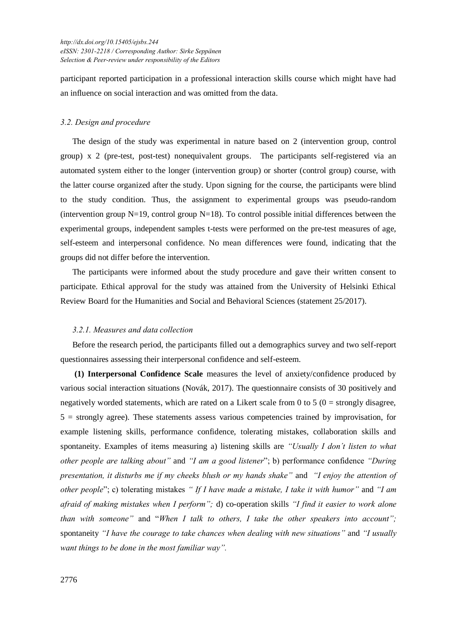participant reported participation in a professional interaction skills course which might have had an influence on social interaction and was omitted from the data.

#### *3.2. Design and procedure*

The design of the study was experimental in nature based on 2 (intervention group, control group) x 2 (pre-test, post-test) nonequivalent groups. The participants self-registered via an automated system either to the longer (intervention group) or shorter (control group) course, with the latter course organized after the study. Upon signing for the course, the participants were blind to the study condition. Thus, the assignment to experimental groups was pseudo-random (intervention group  $N=19$ , control group  $N=18$ ). To control possible initial differences between the experimental groups, independent samples t-tests were performed on the pre-test measures of age, self-esteem and interpersonal confidence. No mean differences were found, indicating that the groups did not differ before the intervention.

The participants were informed about the study procedure and gave their written consent to participate. Ethical approval for the study was attained from the University of Helsinki Ethical Review Board for the Humanities and Social and Behavioral Sciences (statement 25/2017).

#### *3.2.1. Measures and data collection*

Before the research period, the participants filled out a demographics survey and two self-report questionnaires assessing their interpersonal confidence and self-esteem.

**(1) Interpersonal Confidence Scale** measures the level of anxiety/confidence produced by various social interaction situations (Novák, 2017). The questionnaire consists of 30 positively and negatively worded statements, which are rated on a Likert scale from 0 to 5 ( $0 =$  strongly disagree, 5 = strongly agree). These statements assess various competencies trained by improvisation, for example listening skills, performance confidence, tolerating mistakes, collaboration skills and spontaneity. Examples of items measuring a) listening skills are *"Usually I don´t listen to what other people are talking about"* and *"I am a good listener*"; b) performance confidence *"During presentation, it disturbs me if my cheeks blush or my hands shake"* and *"I enjoy the attention of other people*"; c) tolerating mistakes *" If I have made a mistake, I take it with humor"* and *"I am afraid of making mistakes when I perform";* d) co-operation skills *"I find it easier to work alone than with someone"* and "*When I talk to others, I take the other speakers into account";* spontaneity *"I have the courage to take chances when dealing with new situations"* and *"I usually want things to be done in the most familiar way".*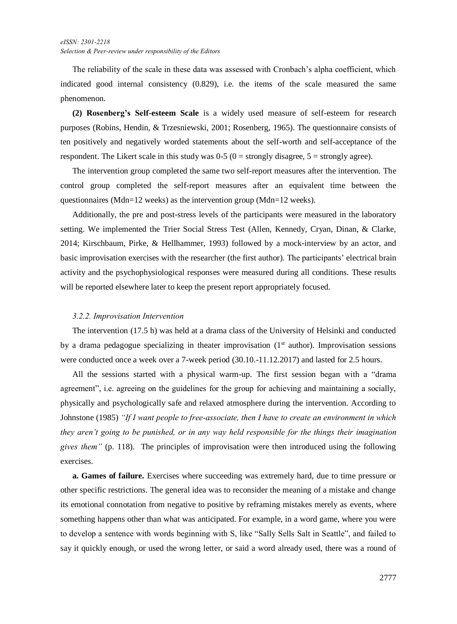The reliability of the scale in these data was assessed with Cronbach's alpha coefficient, which indicated good internal consistency (0.829), i.e. the items of the scale measured the same phenomenon.

**(2) Rosenberg's Self-esteem Scale** is a widely used measure of self-esteem for research purposes (Robins, Hendin, & Trzesniewski, 2001; Rosenberg, 1965). The questionnaire consists of ten positively and negatively worded statements about the self-worth and self-acceptance of the respondent. The Likert scale in this study was  $0.5$  ( $0 =$  strongly disagree,  $5 =$  strongly agree).

The intervention group completed the same two self-report measures after the intervention. The control group completed the self-report measures after an equivalent time between the questionnaires (Mdn=12 weeks) as the intervention group (Mdn=12 weeks).

Additionally, the pre and post-stress levels of the participants were measured in the laboratory setting. We implemented the Trier Social Stress Test (Allen, Kennedy, Cryan, Dinan, & Clarke, 2014; Kirschbaum, Pirke, & Hellhammer, 1993) followed by a mock-interview by an actor, and basic improvisation exercises with the researcher (the first author). The participants' electrical brain activity and the psychophysiological responses were measured during all conditions. These results will be reported elsewhere later to keep the present report appropriately focused.

#### *3.2.2. Improvisation Intervention*

The intervention (17.5 h) was held at a drama class of the University of Helsinki and conducted by a drama pedagogue specializing in theater improvisation  $(1<sup>st</sup>$  author). Improvisation sessions were conducted once a week over a 7-week period (30.10.-11.12.2017) and lasted for 2.5 hours.

All the sessions started with a physical warm-up. The first session began with a "drama agreement", i.e. agreeing on the guidelines for the group for achieving and maintaining a socially, physically and psychologically safe and relaxed atmosphere during the intervention. According to Johnstone (1985) *"If I want people to free-associate, then I have to create an environment in which they aren't going to be punished, or in any way held responsible for the things their imagination gives them"* (p. 118). The principles of improvisation were then introduced using the following exercises.

**a. Games of failure.** Exercises where succeeding was extremely hard, due to time pressure or other specific restrictions. The general idea was to reconsider the meaning of a mistake and change its emotional connotation from negative to positive by reframing mistakes merely as events, where something happens other than what was anticipated. For example, in a word game, where you were to develop a sentence with words beginning with S, like "Sally Sells Salt in Seattle", and failed to say it quickly enough, or used the wrong letter, or said a word already used, there was a round of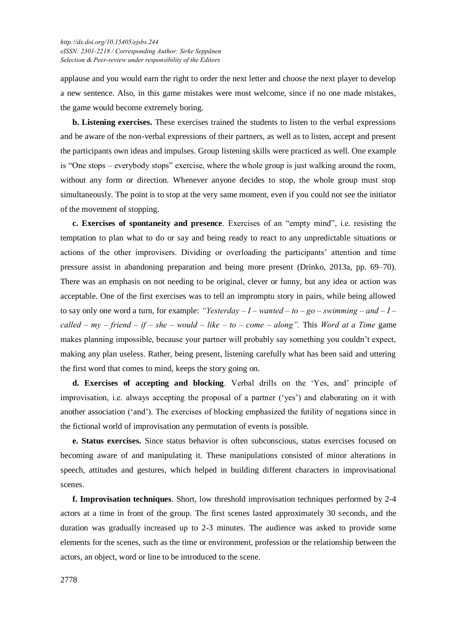applause and you would earn the right to order the next letter and choose the next player to develop a new sentence. Also, in this game mistakes were most welcome, since if no one made mistakes, the game would become extremely boring.

**b. Listening exercises.** These exercises trained the students to listen to the verbal expressions and be aware of the non-verbal expressions of their partners, as well as to listen, accept and present the participants own ideas and impulses. Group listening skills were practiced as well. One example is "One stops – everybody stops" exercise, where the whole group is just walking around the room, without any form or direction. Whenever anyone decides to stop, the whole group must stop simultaneously. The point is to stop at the very same moment, even if you could not see the initiator of the movement of stopping.

**c. Exercises of spontaneity and presence**. Exercises of an "empty mind", i.e. resisting the temptation to plan what to do or say and being ready to react to any unpredictable situations or actions of the other improvisers. Dividing or overloading the participants' attention and time pressure assist in abandoning preparation and being more present (Drinko, 2013a, pp. 69–70). There was an emphasis on not needing to be original, clever or funny, but any idea or action was acceptable. One of the first exercises was to tell an impromptu story in pairs, while being allowed to say only one word a turn, for example: *"Yesterday – I – wanted – to – go – swimming – and – I – called – my – friend – if – she – would – like – to – come – along".* This *Word at a Time* game makes planning impossible, because your partner will probably say something you couldn't expect, making any plan useless. Rather, being present, listening carefully what has been said and uttering the first word that comes to mind, keeps the story going on.

**d. Exercises of accepting and blocking**. Verbal drills on the 'Yes, and' principle of improvisation, i.e. always accepting the proposal of a partner ('yes') and elaborating on it with another association ('and'). The exercises of blocking emphasized the futility of negations since in the fictional world of improvisation any permutation of events is possible.

**e. Status exercises.** Since status behavior is often subconscious, status exercises focused on becoming aware of and manipulating it. These manipulations consisted of minor alterations in speech, attitudes and gestures, which helped in building different characters in improvisational scenes.

**f. Improvisation techniques**. Short, low threshold improvisation techniques performed by 2-4 actors at a time in front of the group. The first scenes lasted approximately 30 seconds, and the duration was gradually increased up to 2-3 minutes. The audience was asked to provide some elements for the scenes, such as the time or environment, profession or the relationship between the actors, an object, word or line to be introduced to the scene.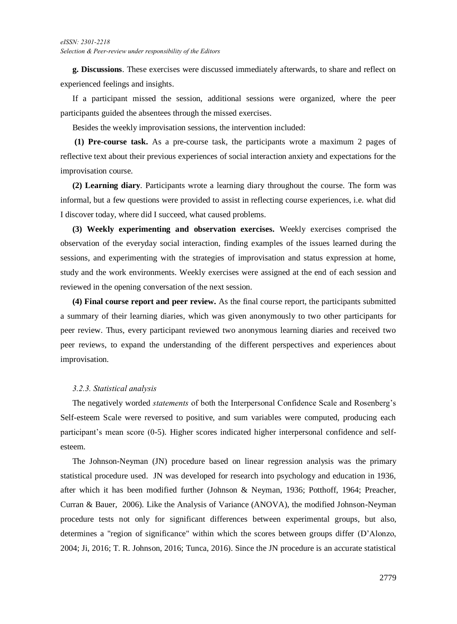**g. Discussions**. These exercises were discussed immediately afterwards, to share and reflect on experienced feelings and insights.

If a participant missed the session, additional sessions were organized, where the peer participants guided the absentees through the missed exercises.

Besides the weekly improvisation sessions, the intervention included:

**(1) Pre-course task.** As a pre-course task, the participants wrote a maximum 2 pages of reflective text about their previous experiences of social interaction anxiety and expectations for the improvisation course.

**(2) Learning diary**. Participants wrote a learning diary throughout the course. The form was informal, but a few questions were provided to assist in reflecting course experiences, i.e. what did I discover today, where did I succeed, what caused problems.

**(3) Weekly experimenting and observation exercises.** Weekly exercises comprised the observation of the everyday social interaction, finding examples of the issues learned during the sessions, and experimenting with the strategies of improvisation and status expression at home, study and the work environments. Weekly exercises were assigned at the end of each session and reviewed in the opening conversation of the next session.

**(4) Final course report and peer review.** As the final course report, the participants submitted a summary of their learning diaries, which was given anonymously to two other participants for peer review. Thus, every participant reviewed two anonymous learning diaries and received two peer reviews, to expand the understanding of the different perspectives and experiences about improvisation.

#### *3.2.3. Statistical analysis*

The negatively worded *statements* of both the Interpersonal Confidence Scale and Rosenberg's Self-esteem Scale were reversed to positive, and sum variables were computed, producing each participant's mean score (0-5). Higher scores indicated higher interpersonal confidence and selfesteem.

The Johnson-Neyman (JN) procedure based on linear regression analysis was the primary statistical procedure used. JN was developed for research into psychology and education in 1936, after which it has been modified further (Johnson & Neyman, 1936; Potthoff, 1964; Preacher, Curran & Bauer, 2006). Like the Analysis of Variance (ANOVA), the modified Johnson-Neyman procedure tests not only for significant differences between experimental groups, but also, determines a "region of significance" within which the scores between groups differ (D'Alonzo, 2004; Ji, 2016; T. R. Johnson, 2016; Tunca, 2016). Since the JN procedure is an accurate statistical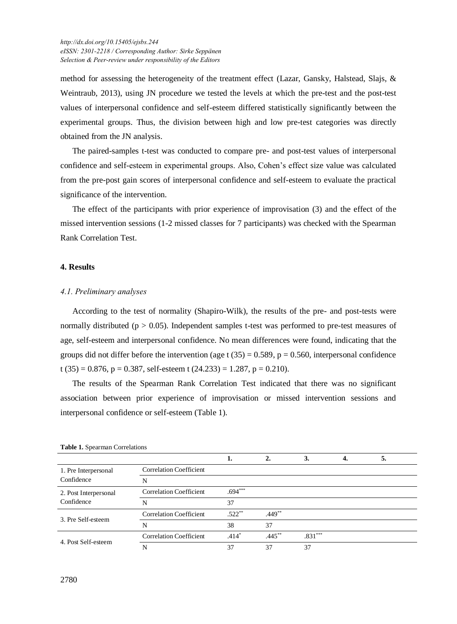method for assessing the heterogeneity of the treatment effect (Lazar, Gansky, Halstead, Slajs, & Weintraub, 2013), using JN procedure we tested the levels at which the pre-test and the post-test values of interpersonal confidence and self-esteem differed statistically significantly between the experimental groups. Thus, the division between high and low pre-test categories was directly obtained from the JN analysis.

The paired-samples t-test was conducted to compare pre- and post-test values of interpersonal confidence and self-esteem in experimental groups. Also, Cohen's effect size value was calculated from the pre-post gain scores of interpersonal confidence and self-esteem to evaluate the practical significance of the intervention.

The effect of the participants with prior experience of improvisation (3) and the effect of the missed intervention sessions (1-2 missed classes for 7 participants) was checked with the Spearman Rank Correlation Test.

#### **4. Results**

#### *4.1. Preliminary analyses*

According to the test of normality (Shapiro-Wilk), the results of the pre- and post-tests were normally distributed ( $p > 0.05$ ). Independent samples t-test was performed to pre-test measures of age, self-esteem and interpersonal confidence. No mean differences were found, indicating that the groups did not differ before the intervention (age t  $(35) = 0.589$ ,  $p = 0.560$ , interpersonal confidence t (35) = 0.876, p = 0.387, self-esteem t (24.233) = 1.287, p = 0.210).

The results of the Spearman Rank Correlation Test indicated that there was no significant association between prior experience of improvisation or missed intervention sessions and interpersonal confidence or self-esteem (Table 1).

|                                     |                                |           |           |           | 5. |  |
|-------------------------------------|--------------------------------|-----------|-----------|-----------|----|--|
| 1. Pre Interpersonal<br>Confidence  | <b>Correlation Coefficient</b> |           |           |           |    |  |
|                                     | N                              |           |           |           |    |  |
| 2. Post Interpersonal<br>Confidence | <b>Correlation Coefficient</b> | $.694***$ |           |           |    |  |
|                                     | N                              | 37        |           |           |    |  |
| 3. Pre Self-esteem                  | <b>Correlation Coefficient</b> | $.522**$  | $.449**$  |           |    |  |
|                                     | N                              | 38        | 37        |           |    |  |
| 4. Post Self-esteem                 | <b>Correlation Coefficient</b> | $.414*$   | $.445***$ | $.831***$ |    |  |
|                                     |                                | 37        | 37        | 37        |    |  |

|  |  |  | Table 1. Spearman Correlations |
|--|--|--|--------------------------------|
|--|--|--|--------------------------------|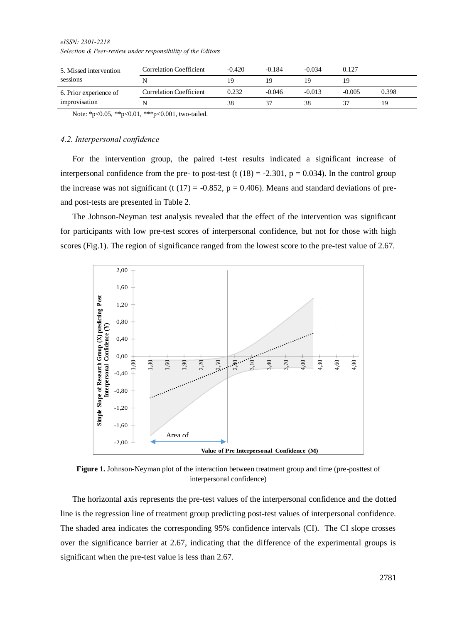*eISSN: 2301-2218 Selection & Peer-review under responsibility of the Editors* 

| 5. Missed intervention<br>sessions<br>6. Prior experience of | <b>Correlation Coefficient</b> | $-0.420$ | $-0.184$ | -0.034   | 0.127    |       |
|--------------------------------------------------------------|--------------------------------|----------|----------|----------|----------|-------|
|                                                              |                                |          |          |          |          |       |
|                                                              |                                |          |          |          |          |       |
|                                                              | <b>Correlation Coefficient</b> | 0.232    | $-0.046$ | $-0.013$ | $-0.005$ | 0.398 |

Note: \*p<0.05, \*\*p<0.01, \*\*\*p<0.001, two-tailed.

#### *4.2. Interpersonal confidence*

For the intervention group, the paired t-test results indicated a significant increase of interpersonal confidence from the pre- to post-test (t  $(18) = -2.301$ , p = 0.034). In the control group the increase was not significant (t  $(17) = -0.852$ ,  $p = 0.406$ ). Means and standard deviations of preand post-tests are presented in Table 2.

The Johnson-Neyman test analysis revealed that the effect of the intervention was significant for participants with low pre-test scores of interpersonal confidence, but not for those with high scores (Fig.1). The region of significance ranged from the lowest score to the pre-test value of 2.67.



**Figure 1.** Johnson-Neyman plot of the interaction between treatment group and time (pre-posttest of interpersonal confidence)

The horizontal axis represents the pre-test values of the interpersonal confidence and the dotted line is the regression line of treatment group predicting post-test values of interpersonal confidence. The shaded area indicates the corresponding 95% confidence intervals (CI). The CI slope crosses over the significance barrier at 2.67, indicating that the difference of the experimental groups is significant when the pre-test value is less than 2.67.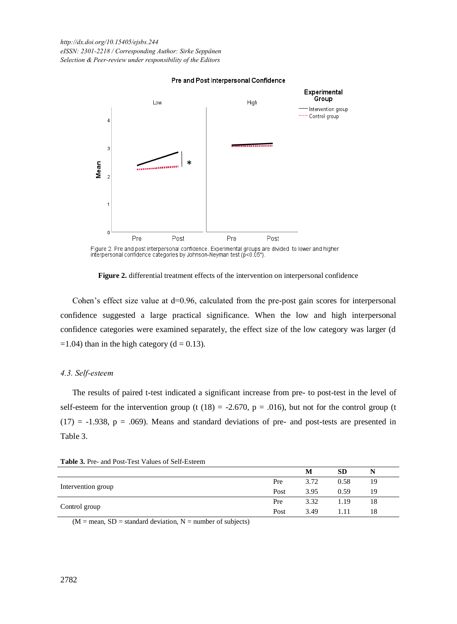*[http://dx.doi.org/1](http://dx.doi.org/)0.15405/ejsbs.244 eISSN: 2301-2218 / Corresponding Author: Sirke Seppänen Selection & Peer-review under responsibility of the Editors*



#### Pre and Post Interpersonal Confidence

Figure 2. Pre and post interpersonal confidence. Experimental groups are divided to lower and higher interpersonal confidence categories by Johnson-Neyman test (p<0.05\*)

**Figure 2.** differential treatment effects of the intervention on interpersonal confidence

Cohen's effect size value at  $d=0.96$ , calculated from the pre-post gain scores for interpersonal confidence suggested a large practical significance. When the low and high interpersonal confidence categories were examined separately, the effect size of the low category was larger (d  $=1.04$ ) than in the high category (d = 0.13).

#### *4.3. Self-esteem*

The results of paired t-test indicated a significant increase from pre- to post-test in the level of self-esteem for the intervention group (t  $(18) = -2.670$ ,  $p = .016$ ), but not for the control group (t  $(17) = -1.938$ ,  $p = .069$ ). Means and standard deviations of pre- and post-tests are presented in Table 3.

|                    |      | M    | <b>SD</b> |    |
|--------------------|------|------|-----------|----|
|                    | Pre  | 3.72 | 0.58      | 19 |
| Intervention group | Post | 3.95 | 0.59      | 19 |
|                    | Pre  | 3.32 | 1.19      | 18 |
| Control group      | Post | 3.49 |           | 18 |

**Table 3.** Pre- and Post-Test Values of Self-Esteem

 $(M = mean, SD = standard deviation, N = number of subjects)$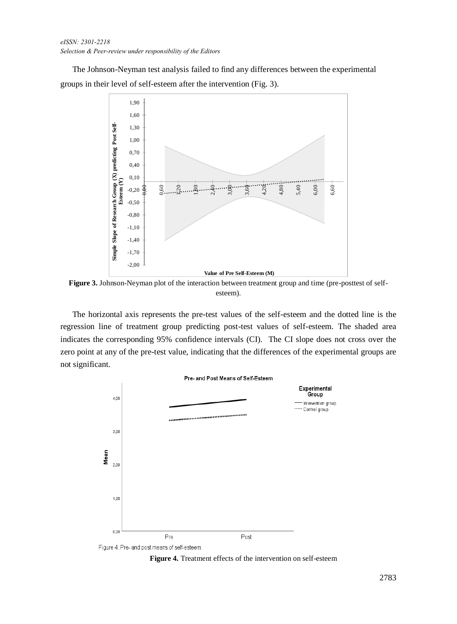*eISSN: 2301-2218 Selection & Peer-review under responsibility of the Editors* 

The Johnson-Neyman test analysis failed to find any differences between the experimental groups in their level of self-esteem after the intervention (Fig. 3).



**Figure 3.** Johnson-Neyman plot of the interaction between treatment group and time (pre-posttest of selfesteem).

The horizontal axis represents the pre-test values of the self-esteem and the dotted line is the regression line of treatment group predicting post-test values of self-esteem. The shaded area indicates the corresponding 95% confidence intervals (CI). The CI slope does not cross over the zero point at any of the pre-test value, indicating that the differences of the experimental groups are not significant.



**Figure 4.** Treatment effects of the intervention on self-esteem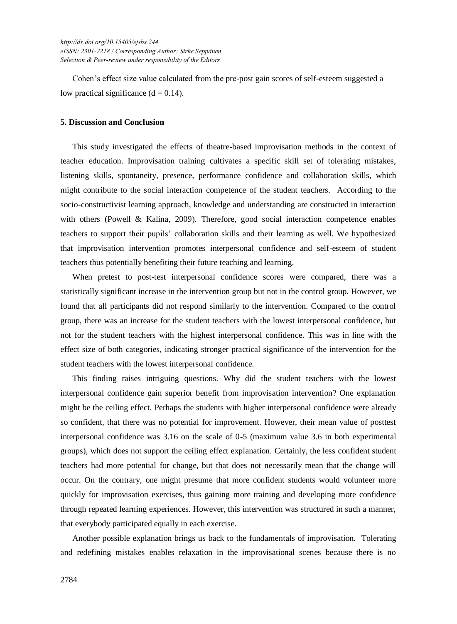Cohen's effect size value calculated from the pre-post gain scores of self-esteem suggested a low practical significance  $(d = 0.14)$ .

#### **5. Discussion and Conclusion**

This study investigated the effects of theatre-based improvisation methods in the context of teacher education. Improvisation training cultivates a specific skill set of tolerating mistakes, listening skills, spontaneity, presence, performance confidence and collaboration skills, which might contribute to the social interaction competence of the student teachers. According to the socio-constructivist learning approach, knowledge and understanding are constructed in interaction with others (Powell & Kalina, 2009). Therefore, good social interaction competence enables teachers to support their pupils' collaboration skills and their learning as well. We hypothesized that improvisation intervention promotes interpersonal confidence and self-esteem of student teachers thus potentially benefiting their future teaching and learning.

When pretest to post-test interpersonal confidence scores were compared, there was a statistically significant increase in the intervention group but not in the control group. However, we found that all participants did not respond similarly to the intervention. Compared to the control group, there was an increase for the student teachers with the lowest interpersonal confidence, but not for the student teachers with the highest interpersonal confidence. This was in line with the effect size of both categories, indicating stronger practical significance of the intervention for the student teachers with the lowest interpersonal confidence.

This finding raises intriguing questions. Why did the student teachers with the lowest interpersonal confidence gain superior benefit from improvisation intervention? One explanation might be the ceiling effect. Perhaps the students with higher interpersonal confidence were already so confident, that there was no potential for improvement. However, their mean value of posttest interpersonal confidence was 3.16 on the scale of 0-5 (maximum value 3.6 in both experimental groups), which does not support the ceiling effect explanation. Certainly, the less confident student teachers had more potential for change, but that does not necessarily mean that the change will occur. On the contrary, one might presume that more confident students would volunteer more quickly for improvisation exercises, thus gaining more training and developing more confidence through repeated learning experiences. However, this intervention was structured in such a manner, that everybody participated equally in each exercise.

Another possible explanation brings us back to the fundamentals of improvisation. Tolerating and redefining mistakes enables relaxation in the improvisational scenes because there is no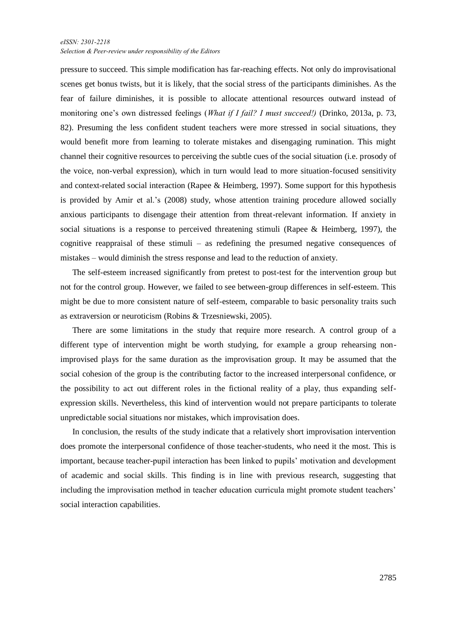#### *eISSN: 2301-2218 Selection & Peer-review under responsibility of the Editors*

pressure to succeed. This simple modification has far-reaching effects. Not only do improvisational scenes get bonus twists, but it is likely, that the social stress of the participants diminishes. As the fear of failure diminishes, it is possible to allocate attentional resources outward instead of monitoring one's own distressed feelings (*What if I fail? I must succeed!)* (Drinko, 2013a, p. 73, 82). Presuming the less confident student teachers were more stressed in social situations, they would benefit more from learning to tolerate mistakes and disengaging rumination. This might channel their cognitive resources to perceiving the subtle cues of the social situation (i.e. prosody of the voice, non-verbal expression), which in turn would lead to more situation-focused sensitivity and context-related social interaction (Rapee & Heimberg, 1997). Some support for this hypothesis is provided by Amir et al.'s (2008) study, whose attention training procedure allowed socially anxious participants to disengage their attention from threat-relevant information. If anxiety in social situations is a response to perceived threatening stimuli (Rapee & Heimberg, 1997), the cognitive reappraisal of these stimuli – as redefining the presumed negative consequences of mistakes – would diminish the stress response and lead to the reduction of anxiety.

The self-esteem increased significantly from pretest to post-test for the intervention group but not for the control group. However, we failed to see between-group differences in self-esteem. This might be due to more consistent nature of self-esteem, comparable to basic personality traits such as extraversion or neuroticism (Robins & Trzesniewski, 2005).

There are some limitations in the study that require more research. A control group of a different type of intervention might be worth studying, for example a group rehearsing nonimprovised plays for the same duration as the improvisation group. It may be assumed that the social cohesion of the group is the contributing factor to the increased interpersonal confidence, or the possibility to act out different roles in the fictional reality of a play, thus expanding selfexpression skills. Nevertheless, this kind of intervention would not prepare participants to tolerate unpredictable social situations nor mistakes, which improvisation does.

In conclusion, the results of the study indicate that a relatively short improvisation intervention does promote the interpersonal confidence of those teacher-students, who need it the most. This is important, because teacher-pupil interaction has been linked to pupils' motivation and development of academic and social skills. This finding is in line with previous research, suggesting that including the improvisation method in teacher education curricula might promote student teachers' social interaction capabilities.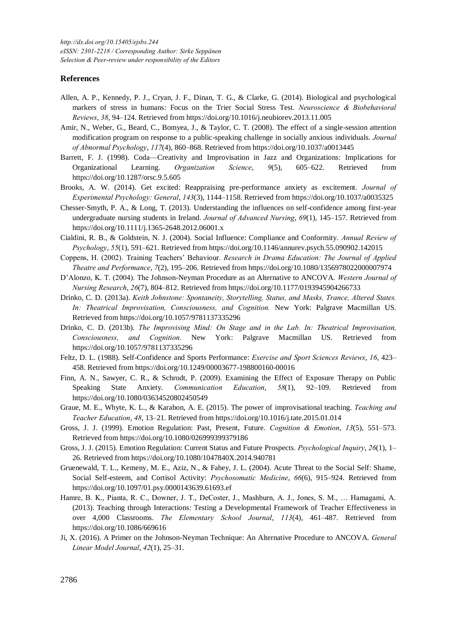#### **References**

- Allen, A. P., Kennedy, P. J., Cryan, J. F., Dinan, T. G., & Clarke, G. (2014). Biological and psychological markers of stress in humans: Focus on the Trier Social Stress Test. *Neuroscience & Biobehavioral Reviews*, *38*, 94–124. Retrieved from https://doi.org/10.1016/j.neubiorev.2013.11.005
- Amir, N., Weber, G., Beard, C., Bomyea, J., & Taylor, C. T. (2008). The effect of a single-session attention modification program on response to a public-speaking challenge in socially anxious individuals. *Journal of Abnormal Psychology*, *117*(4), 860–868. Retrieved from https://doi.org/10.1037/a0013445
- Barrett, F. J. (1998). Coda—Creativity and Improvisation in Jazz and Organizations: Implications for Organizational Learning. *Organization Science*, *9*(5), 605–622. Retrieved from https://doi.org/10.1287/orsc.9.5.605
- Brooks, A. W. (2014). Get excited: Reappraising pre-performance anxiety as excitement. *Journal of Experimental Psychology: General*, *143*(3), 1144–1158. Retrieved from https://doi.org/10.1037/a0035325
- Chesser‐Smyth, P. A., & Long, T. (2013). Understanding the influences on self-confidence among first-year undergraduate nursing students in Ireland. *Journal of Advanced Nursing*, *69*(1), 145–157. Retrieved from https://doi.org/10.1111/j.1365-2648.2012.06001.x
- Cialdini, R. B., & Goldstein, N. J. (2004). Social Influence: Compliance and Conformity. *Annual Review of Psychology*, *55*(1), 591–621. Retrieved from https://doi.org/10.1146/annurev.psych.55.090902.142015
- Coppens, H. (2002). Training Teachers' Behaviour. *Research in Drama Education: The Journal of Applied Theatre and Performance*, *7*(2), 195–206. Retrieved from https://doi.org/10.1080/1356978022000007974
- D'Alonzo, K. T. (2004). The Johnson-Neyman Procedure as an Alternative to ANCOVA. *Western Journal of Nursing Research*, *26*(7), 804–812. Retrieved from https://doi.org/10.1177/0193945904266733
- Drinko, C. D. (2013a). *Keith Johnstone: Spontaneity, Storytelling, Status, and Masks, Trance, Altered States. In: Theatrical Improvisation, Consciousness, and Cognition.* New York: Palgrave Macmillan US. Retrieved from https://doi.org/10.1057/9781137335296
- Drinko, C. D. (2013b). *The Improvising Mind: On Stage and in the Lab. In: Theatrical Improvisation, Consciousness, and Cognition.* New York: Palgrave Macmillan US. Retrieved from https://doi.org/10.1057/9781137335296
- Feltz, D. L. (1988). Self-Confidence and Sports Performance: *Exercise and Sport Sciences Reviews*, *16*, 423– 458. Retrieved from https://doi.org/10.1249/00003677-198800160-00016
- Finn, A. N., Sawyer, C. R., & Schrodt, P. (2009). Examining the Effect of Exposure Therapy on Public Speaking State Anxiety. *Communication Education*, *58*(1), 92–109. Retrieved from https://doi.org/10.1080/03634520802450549
- Graue, M. E., Whyte, K. L., & Karabon, A. E. (2015). The power of improvisational teaching. *Teaching and Teacher Education*, *48*, 13–21. Retrieved from https://doi.org/10.1016/j.tate.2015.01.014
- Gross, J. J. (1999). Emotion Regulation: Past, Present, Future. *Cognition & Emotion*, *13*(5), 551–573. Retrieved from https://doi.org/10.1080/026999399379186
- Gross, J. J. (2015). Emotion Regulation: Current Status and Future Prospects. *Psychological Inquiry*, *26*(1), 1– 26. Retrieved from https://doi.org/10.1080/1047840X.2014.940781
- Gruenewald, T. L., Kemeny, M. E., Aziz, N., & Fahey, J. L. (2004). Acute Threat to the Social Self: Shame, Social Self-esteem, and Cortisol Activity: *Psychosomatic Medicine*, *66*(6), 915–924. Retrieved from https://doi.org/10.1097/01.psy.0000143639.61693.ef
- Hamre, B. K., Pianta, R. C., Downer, J. T., DeCoster, J., Mashburn, A. J., Jones, S. M., … Hamagami, A. (2013). Teaching through Interactions: Testing a Developmental Framework of Teacher Effectiveness in over 4,000 Classrooms. *The Elementary School Journal*, *113*(4), 461–487. Retrieved from https://doi.org/10.1086/669616
- Ji, X. (2016). A Primer on the Johnson-Neyman Technique: An Alternative Procedure to ANCOVA. *General Linear Model Journal*, *42*(1), 25–31.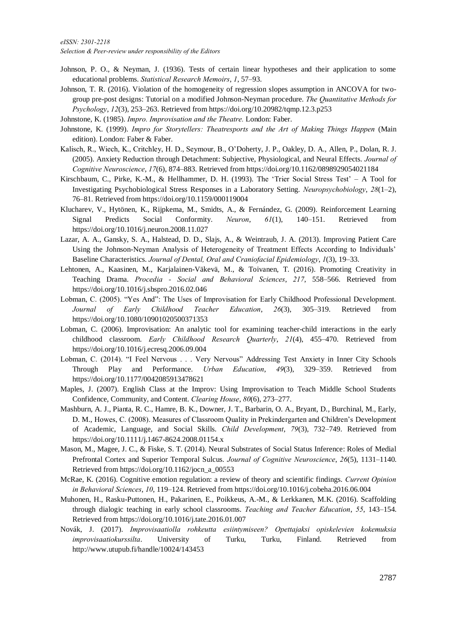*Selection & Peer-review under responsibility of the Editors* 

- Johnson, P. O., & Neyman, J. (1936). Tests of certain linear hypotheses and their application to some educational problems. *Statistical Research Memoirs*, *1*, 57–93.
- Johnson, T. R. (2016). Violation of the homogeneity of regression slopes assumption in ANCOVA for twogroup pre-post designs: Tutorial on a modified Johnson-Neyman procedure. *The Quantitative Methods for Psychology*, *12*(3), 253–263. Retrieved from https://doi.org/10.20982/tqmp.12.3.p253
- Johnstone, K. (1985). *Impro. Improvisation and the Theatre.* London: Faber.
- Johnstone, K. (1999). *Impro for Storytellers: Theatresports and the Art of Making Things Happen* (Main edition). London: Faber & Faber.
- Kalisch, R., Wiech, K., Critchley, H. D., Seymour, B., O'Doherty, J. P., Oakley, D. A., Allen, P., Dolan, R. J. (2005). Anxiety Reduction through Detachment: Subjective, Physiological, and Neural Effects. *Journal of Cognitive Neuroscience*, *17*(6), 874–883. Retrieved from https://doi.org/10.1162/0898929054021184
- Kirschbaum, C., Pirke, K.-M., & Hellhammer, D. H. (1993). The 'Trier Social Stress Test' A Tool for Investigating Psychobiological Stress Responses in a Laboratory Setting. *Neuropsychobiology*, *28*(1–2), 76–81. Retrieved from https://doi.org/10.1159/000119004
- Klucharev, V., Hytönen, K., Rijpkema, M., Smidts, A., & Fernández, G. (2009). Reinforcement Learning Signal Predicts Social Conformity. *Neuron*, *61*(1), 140–151. Retrieved from https://doi.org/10.1016/j.neuron.2008.11.027
- Lazar, A. A., Gansky, S. A., Halstead, D. D., Slajs, A., & Weintraub, J. A. (2013). Improving Patient Care Using the Johnson-Neyman Analysis of Heterogeneity of Treatment Effects According to Individuals' Baseline Characteristics. *Journal of Dental, Oral and Craniofacial Epidemiology*, *1*(3), 19–33.
- Lehtonen, A., Kaasinen, M., Karjalainen-Väkevä, M., & Toivanen, T. (2016). Promoting Creativity in Teaching Drama. *Procedia - Social and Behavioral Sciences*, *217*, 558–566. Retrieved from https://doi.org/10.1016/j.sbspro.2016.02.046
- Lobman, C. (2005). "Yes And": The Uses of Improvisation for Early Childhood Professional Development. *Journal of Early Childhood Teacher Education*, *26*(3), 305–319. Retrieved from https://doi.org/10.1080/10901020500371353
- Lobman, C. (2006). Improvisation: An analytic tool for examining teacher-child interactions in the early childhood classroom. *Early Childhood Research Quarterly*, *21*(4), 455–470. Retrieved from https://doi.org/10.1016/j.ecresq.2006.09.004
- Lobman, C. (2014). "I Feel Nervous . . . Very Nervous" Addressing Test Anxiety in Inner City Schools Through Play and Performance. *Urban Education*, *49*(3), 329–359. Retrieved from https://doi.org/10.1177/0042085913478621
- Maples, J. (2007). English Class at the Improv: Using Improvisation to Teach Middle School Students Confidence, Community, and Content. *Clearing House*, *80*(6), 273–277.
- Mashburn, A. J., Pianta, R. C., Hamre, B. K., Downer, J. T., Barbarin, O. A., Bryant, D., Burchinal, M., Early, D. M., Howes, C. (2008). Measures of Classroom Quality in Prekindergarten and Children's Development of Academic, Language, and Social Skills. *Child Development*, *79*(3), 732–749. Retrieved from https://doi.org/10.1111/j.1467-8624.2008.01154.x
- Mason, M., Magee, J. C., & Fiske, S. T. (2014). Neural Substrates of Social Status Inference: Roles of Medial Prefrontal Cortex and Superior Temporal Sulcus. *Journal of Cognitive Neuroscience*, *26*(5), 1131–1140. Retrieved from https://doi.org/10.1162/jocn\_a\_00553
- McRae, K. (2016). Cognitive emotion regulation: a review of theory and scientific findings. *Current Opinion in Behavioral Sciences*, *10*, 119–124. Retrieved from https://doi.org/10.1016/j.cobeha.2016.06.004
- Muhonen, H., Rasku-Puttonen, H., Pakarinen, E., Poikkeus, A.-M., & Lerkkanen, M.K. (2016). Scaffolding through dialogic teaching in early school classrooms. *Teaching and Teacher Education*, *55*, 143–154. Retrieved from https://doi.org/10.1016/j.tate.2016.01.007
- Novák, J. (2017). *Improvisaatiolla rohkeutta esiintymiseen? Opettajaksi opiskelevien kokemuksia improvisaatiokurssilta*. University of Turku, Turku, Finland. Retrieved from http://www.utupub.fi/handle/10024/143453